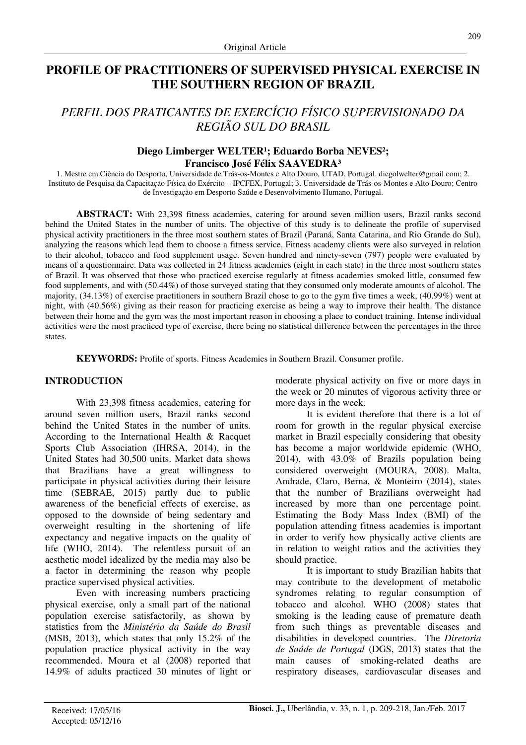# **PROFILE OF PRACTITIONERS OF SUPERVISED PHYSICAL EXERCISE IN THE SOUTHERN REGION OF BRAZIL**

# *PERFIL DOS PRATICANTES DE EXERCÍCIO FÍSICO SUPERVISIONADO DA REGIÃO SUL DO BRASIL*

#### Diego Limberger WELTER<sup>1</sup>; Eduardo Borba NEVES<sup>2</sup>; **Francisco José Félix SAAVEDRA³**

1. Mestre em Ciência do Desporto, Universidade de Trás-os-Montes e Alto Douro, UTAD, Portugal. diegolwelter@gmail.com; 2. Instituto de Pesquisa da Capacitação Física do Exército – IPCFEX, Portugal; 3. Universidade de Trás-os-Montes e Alto Douro; Centro de Investigação em Desporto Saúde e Desenvolvimento Humano, Portugal.

**ABSTRACT:** With 23,398 fitness academies, catering for around seven million users, Brazil ranks second behind the United States in the number of units. The objective of this study is to delineate the profile of supervised physical activity practitioners in the three most southern states of Brazil (Paraná, Santa Catarina, and Rio Grande do Sul), analyzing the reasons which lead them to choose a fitness service. Fitness academy clients were also surveyed in relation to their alcohol, tobacco and food supplement usage. Seven hundred and ninety-seven (797) people were evaluated by means of a questionnaire. Data was collected in 24 fitness academies (eight in each state) in the three most southern states of Brazil. It was observed that those who practiced exercise regularly at fitness academies smoked little, consumed few food supplements, and with (50.44%) of those surveyed stating that they consumed only moderate amounts of alcohol. The majority, (34.13%) of exercise practitioners in southern Brazil chose to go to the gym five times a week, (40.99%) went at night, with (40.56%) giving as their reason for practicing exercise as being a way to improve their health. The distance between their home and the gym was the most important reason in choosing a place to conduct training. Intense individual activities were the most practiced type of exercise, there being no statistical difference between the percentages in the three states.

**KEYWORDS:** Profile of sports. Fitness Academies in Southern Brazil. Consumer profile.

## **INTRODUCTION**

With 23,398 fitness academies, catering for around seven million users, Brazil ranks second behind the United States in the number of units. According to the International Health & Racquet Sports Club Association (IHRSA, 2014), in the United States had 30,500 units. Market data shows that Brazilians have a great willingness to participate in physical activities during their leisure time (SEBRAE, 2015) partly due to public awareness of the beneficial effects of exercise, as opposed to the downside of being sedentary and overweight resulting in the shortening of life expectancy and negative impacts on the quality of life (WHO, 2014). The relentless pursuit of an aesthetic model idealized by the media may also be a factor in determining the reason why people practice supervised physical activities.

Even with increasing numbers practicing physical exercise, only a small part of the national population exercise satisfactorily, as shown by statistics from the *Ministério da Saúde do Brasil* (MSB, 2013), which states that only 15.2% of the population practice physical activity in the way recommended. Moura et al (2008) reported that 14.9% of adults practiced 30 minutes of light or moderate physical activity on five or more days in the week or 20 minutes of vigorous activity three or more days in the week.

It is evident therefore that there is a lot of room for growth in the regular physical exercise market in Brazil especially considering that obesity has become a major worldwide epidemic (WHO, 2014), with 43.0% of Brazils population being considered overweight (MOURA, 2008). Malta, Andrade, Claro, Berna, & Monteiro (2014), states that the number of Brazilians overweight had increased by more than one percentage point. Estimating the Body Mass Index (BMI) of the population attending fitness academies is important in order to verify how physically active clients are in relation to weight ratios and the activities they should practice.

It is important to study Brazilian habits that may contribute to the development of metabolic syndromes relating to regular consumption of tobacco and alcohol. WHO (2008) states that smoking is the leading cause of premature death from such things as preventable diseases and disabilities in developed countries. The *Diretoria de Saúde de Portugal* (DGS, 2013) states that the main causes of smoking-related deaths are respiratory diseases, cardiovascular diseases and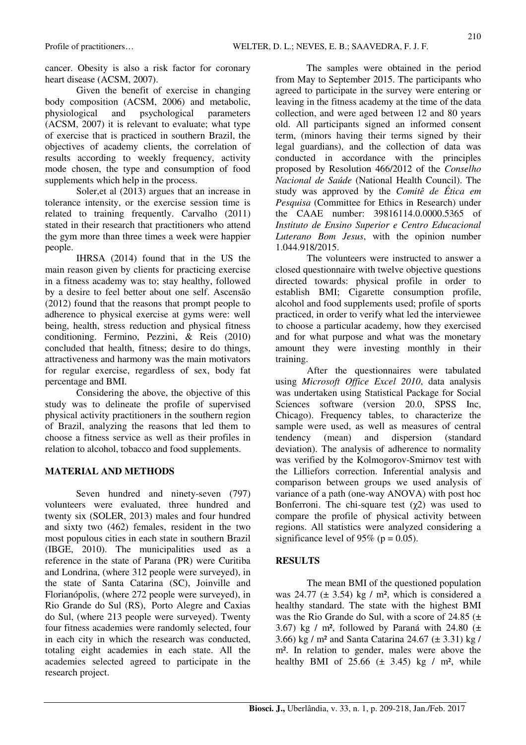cancer. Obesity is also a risk factor for coronary heart disease (ACSM, 2007).

Given the benefit of exercise in changing body composition (ACSM, 2006) and metabolic, physiological and psychological parameters (ACSM, 2007) it is relevant to evaluate; what type of exercise that is practiced in southern Brazil, the objectives of academy clients, the correlation of results according to weekly frequency, activity mode chosen, the type and consumption of food supplements which help in the process.

Soler,et al (2013) argues that an increase in tolerance intensity, or the exercise session time is related to training frequently. Carvalho (2011) stated in their research that practitioners who attend the gym more than three times a week were happier people.

IHRSA (2014) found that in the US the main reason given by clients for practicing exercise in a fitness academy was to; stay healthy, followed by a desire to feel better about one self. Ascensão (2012) found that the reasons that prompt people to adherence to physical exercise at gyms were: well being, health, stress reduction and physical fitness conditioning. Fermino, Pezzini, & Reis (2010) concluded that health, fitness; desire to do things, attractiveness and harmony was the main motivators for regular exercise, regardless of sex, body fat percentage and BMI.

Considering the above, the objective of this study was to delineate the profile of supervised physical activity practitioners in the southern region of Brazil, analyzing the reasons that led them to choose a fitness service as well as their profiles in relation to alcohol, tobacco and food supplements.

## **MATERIAL AND METHODS**

Seven hundred and ninety-seven (797) volunteers were evaluated, three hundred and twenty six (SOLER, 2013) males and four hundred and sixty two (462) females, resident in the two most populous cities in each state in southern Brazil (IBGE, 2010). The municipalities used as a reference in the state of Parana (PR) were Curitiba and Londrina, (where 312 people were surveyed), in the state of Santa Catarina (SC), Joinville and Florianópolis, (where 272 people were surveyed), in Rio Grande do Sul (RS), Porto Alegre and Caxias do Sul, (where 213 people were surveyed). Twenty four fitness academies were randomly selected, four in each city in which the research was conducted, totaling eight academies in each state. All the academies selected agreed to participate in the research project.

The samples were obtained in the period from May to September 2015. The participants who agreed to participate in the survey were entering or leaving in the fitness academy at the time of the data collection, and were aged between 12 and 80 years old. All participants signed an informed consent term, (minors having their terms signed by their legal guardians), and the collection of data was conducted in accordance with the principles proposed by Resolution 466/2012 of the *Conselho Nacional de Saúde* (National Health Council). The study was approved by the *Comitê de Ética em Pesquisa* (Committee for Ethics in Research) under the CAAE number: 39816114.0.0000.5365 of *Instituto de Ensino Superior e Centro Educacional Luterano Bom Jesus*, with the opinion number 1.044.918/2015.

The volunteers were instructed to answer a closed questionnaire with twelve objective questions directed towards: physical profile in order to establish BMI; Cigarette consumption profile, alcohol and food supplements used; profile of sports practiced, in order to verify what led the interviewee to choose a particular academy, how they exercised and for what purpose and what was the monetary amount they were investing monthly in their training.

After the questionnaires were tabulated using *Microsoft Office Excel 2010*, data analysis was undertaken using Statistical Package for Social Sciences software (version 20.0, SPSS Inc, Chicago). Frequency tables, to characterize the sample were used, as well as measures of central tendency (mean) and dispersion (standard deviation). The analysis of adherence to normality was verified by the Kolmogorov-Smirnov test with the Lilliefors correction. Inferential analysis and comparison between groups we used analysis of variance of a path (one-way ANOVA) with post hoc Bonferroni. The chi-square test  $(\chi^2)$  was used to compare the profile of physical activity between regions. All statistics were analyzed considering a significance level of 95% ( $p = 0.05$ ).

## **RESULTS**

The mean BMI of the questioned population was 24.77 ( $\pm$  3.54) kg / m<sup>2</sup>, which is considered a healthy standard. The state with the highest BMI was the Rio Grande do Sul, with a score of 24.85 (± 3.67) kg / m<sup>2</sup>, followed by Paraná with 24.80  $(\pm$ 3.66) kg / m² and Santa Catarina 24.67 (± 3.31) kg / m². In relation to gender, males were above the healthy BMI of  $25.66 \ (\pm 3.45)$  kg / m<sup>2</sup>, while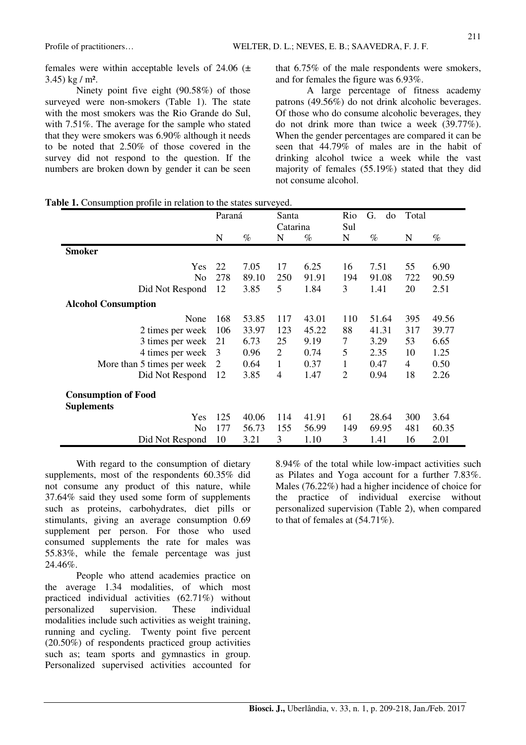females were within acceptable levels of  $24.06$  ( $\pm$  $3.45)$  kg / m<sup>2</sup>.

Ninety point five eight (90.58%) of those surveyed were non-smokers (Table 1). The state with the most smokers was the Rio Grande do Sul, with 7.51%. The average for the sample who stated that they were smokers was 6.90% although it needs to be noted that 2.50% of those covered in the survey did not respond to the question. If the numbers are broken down by gender it can be seen that 6.75% of the male respondents were smokers, and for females the figure was 6.93%.

A large percentage of fitness academy patrons (49.56%) do not drink alcoholic beverages. Of those who do consume alcoholic beverages, they do not drink more than twice a week (39.77%). When the gender percentages are compared it can be seen that 44.79% of males are in the habit of drinking alcohol twice a week while the vast majority of females (55.19%) stated that they did not consume alcohol.

| Table 1. Consumption profile in relation to the states surveyed. |  |
|------------------------------------------------------------------|--|
|------------------------------------------------------------------|--|

|                            | Paraná   |       | Santa          |       | Rio            | G.<br>do |     | Total |  |
|----------------------------|----------|-------|----------------|-------|----------------|----------|-----|-------|--|
|                            | Catarina |       | Sul            |       |                |          |     |       |  |
|                            | N        | $\%$  | N              | $\%$  | N              | $\%$     | N   | $\%$  |  |
| <b>Smoker</b>              |          |       |                |       |                |          |     |       |  |
| Yes                        | 22       | 7.05  | 17             | 6.25  | 16             | 7.51     | 55  | 6.90  |  |
| N <sub>0</sub>             | 278      | 89.10 | 250            | 91.91 | 194            | 91.08    | 722 | 90.59 |  |
| Did Not Respond            | 12       | 3.85  | 5              | 1.84  | 3              | 1.41     | 20  | 2.51  |  |
| <b>Alcohol Consumption</b> |          |       |                |       |                |          |     |       |  |
| None                       | 168      | 53.85 | 117            | 43.01 | 110            | 51.64    | 395 | 49.56 |  |
| 2 times per week           | 106      | 33.97 | 123            | 45.22 | 88             | 41.31    | 317 | 39.77 |  |
| 3 times per week           | 21       | 6.73  | 25             | 9.19  | 7              | 3.29     | 53  | 6.65  |  |
| 4 times per week           | 3        | 0.96  | $\overline{2}$ | 0.74  | 5              | 2.35     | 10  | 1.25  |  |
| More than 5 times per week | 2        | 0.64  | $\mathbf{1}$   | 0.37  | 1              | 0.47     | 4   | 0.50  |  |
| Did Not Respond            | 12       | 3.85  | 4              | 1.47  | $\overline{2}$ | 0.94     | 18  | 2.26  |  |
| <b>Consumption of Food</b> |          |       |                |       |                |          |     |       |  |
| <b>Suplements</b>          |          |       |                |       |                |          |     |       |  |
| Yes                        | 125      | 40.06 | 114            | 41.91 | 61             | 28.64    | 300 | 3.64  |  |
| N <sub>o</sub>             | 177      | 56.73 | 155            | 56.99 | 149            | 69.95    | 481 | 60.35 |  |
| Did Not Respond            | 10       | 3.21  | 3              | 1.10  | 3              | 1.41     | 16  | 2.01  |  |

With regard to the consumption of dietary supplements, most of the respondents 60.35% did not consume any product of this nature, while 37.64% said they used some form of supplements such as proteins, carbohydrates, diet pills or stimulants, giving an average consumption 0.69 supplement per person. For those who used consumed supplements the rate for males was 55.83%, while the female percentage was just 24.46%.

People who attend academies practice on the average 1.34 modalities, of which most practiced individual activities (62.71%) without personalized supervision. These individual modalities include such activities as weight training, running and cycling. Twenty point five percent (20.50%) of respondents practiced group activities such as; team sports and gymnastics in group. Personalized supervised activities accounted for

8.94% of the total while low-impact activities such as Pilates and Yoga account for a further 7.83%. Males (76.22%) had a higher incidence of choice for the practice of individual exercise without personalized supervision (Table 2), when compared to that of females at (54.71%).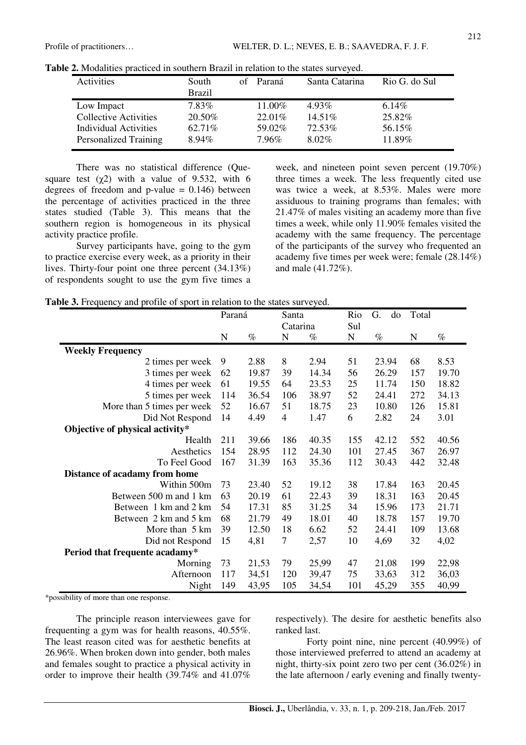| Activities                   | South         | of Paraná | Santa Catarina | Rio G. do Sul |
|------------------------------|---------------|-----------|----------------|---------------|
|                              | <b>Brazil</b> |           |                |               |
| Low Impact                   | 7.83%         | 11.00%    | 4.93%          | $6.14\%$      |
| <b>Collective Activities</b> | 20.50%        | $22.01\%$ | $14.51\%$      | 25.82%        |
| Individual Activities        | 62.71%        | 59.02%    | 72.53%         | 56.15%        |
| <b>Personalized Training</b> | $8.94\%$      | 7.96%     | $8.02\%$       | 11.89%        |

There was no statistical difference (Quesquare test  $(\chi^2)$  with a value of 9.532, with 6 degrees of freedom and  $p$ -value = 0.146) between the percentage of activities practiced in the three states studied (Table 3). This means that the southern region is homogeneous in its physical activity practice profile.

Survey participants have, going to the gym to practice exercise every week, as a priority in their lives. Thirty-four point one three percent (34.13%) of respondents sought to use the gym five times a week, and nineteen point seven percent (19.70%) three times a week. The less frequently cited use was twice a week, at 8.53%. Males were more assiduous to training programs than females; with 21.47% of males visiting an academy more than five times a week, while only 11.90% females visited the academy with the same frequency. The percentage of the participants of the survey who frequented an academy five times per week were; female (28.14%) and male (41.72%).

|  | Table 3. Frequency and profile of sport in relation to the states surveyed. |  |
|--|-----------------------------------------------------------------------------|--|
|--|-----------------------------------------------------------------------------|--|

|                                 | Paraná      |       | Santa          |       | Rio         | G.<br>do | Total       |       |
|---------------------------------|-------------|-------|----------------|-------|-------------|----------|-------------|-------|
|                                 |             |       | Catarina       |       | Sul         |          |             |       |
|                                 | $\mathbf N$ | $\%$  | N              | $\%$  | $\mathbf N$ | $\%$     | $\mathbf N$ | $\%$  |
| <b>Weekly Frequency</b>         |             |       |                |       |             |          |             |       |
| 2 times per week                | 9           | 2.88  | 8              | 2.94  | 51          | 23.94    | 68          | 8.53  |
| 3 times per week                | 62          | 19.87 | 39             | 14.34 | 56          | 26.29    | 157         | 19.70 |
| 4 times per week                | 61          | 19.55 | 64             | 23.53 | 25          | 11.74    | 150         | 18.82 |
| 5 times per week                | 114         | 36.54 | 106            | 38.97 | 52          | 24.41    | 272         | 34.13 |
| More than 5 times per week      | 52          | 16.67 | 51             | 18.75 | 23          | 10.80    | 126         | 15.81 |
| Did Not Respond                 | 14          | 4.49  | $\overline{4}$ | 1.47  | 6           | 2.82     | 24          | 3.01  |
| Objective of physical activity* |             |       |                |       |             |          |             |       |
| Health                          | 211         | 39.66 | 186            | 40.35 | 155         | 42.12    | 552         | 40.56 |
| Aesthetics                      | 154         | 28.95 | 112            | 24.30 | 101         | 27.45    | 367         | 26.97 |
| To Feel Good                    | 167         | 31.39 | 163            | 35.36 | 112         | 30.43    | 442         | 32.48 |
| Distance of acadamy from home   |             |       |                |       |             |          |             |       |
| Within 500m                     | 73          | 23.40 | 52             | 19.12 | 38          | 17.84    | 163         | 20.45 |
| Between 500 m and 1 km          | 63          | 20.19 | 61             | 22.43 | 39          | 18.31    | 163         | 20.45 |
| Between 1 km and 2 km           | 54          | 17.31 | 85             | 31.25 | 34          | 15.96    | 173         | 21.71 |
| Between 2 km and 5 km           | 68          | 21.79 | 49             | 18.01 | 40          | 18.78    | 157         | 19.70 |
| More than 5 km                  | 39          | 12.50 | 18             | 6.62  | 52          | 24.41    | 109         | 13.68 |
| Did not Respond                 | 15          | 4,81  | 7              | 2,57  | 10          | 4,69     | 32          | 4,02  |
| Period that frequente acadamy*  |             |       |                |       |             |          |             |       |
| Morning                         | 73          | 21,53 | 79             | 25,99 | 47          | 21,08    | 199         | 22,98 |
| Afternoon                       | 117         | 34,51 | 120            | 39,47 | 75          | 33,63    | 312         | 36,03 |
| Night                           | 149         | 43,95 | 105            | 34,54 | 101         | 45,29    | 355         | 40,99 |

\*possibility of more than one response.

The principle reason interviewees gave for frequenting a gym was for health reasons, 40.55%. The least reason cited was for aesthetic benefits at 26.96%. When broken down into gender, both males and females sought to practice a physical activity in order to improve their health (39.74% and 41.07%

respectively). The desire for aesthetic benefits also ranked last.

Forty point nine, nine percent (40.99%) of those interviewed preferred to attend an academy at night, thirty-six point zero two per cent (36.02%) in the late afternoon / early evening and finally twenty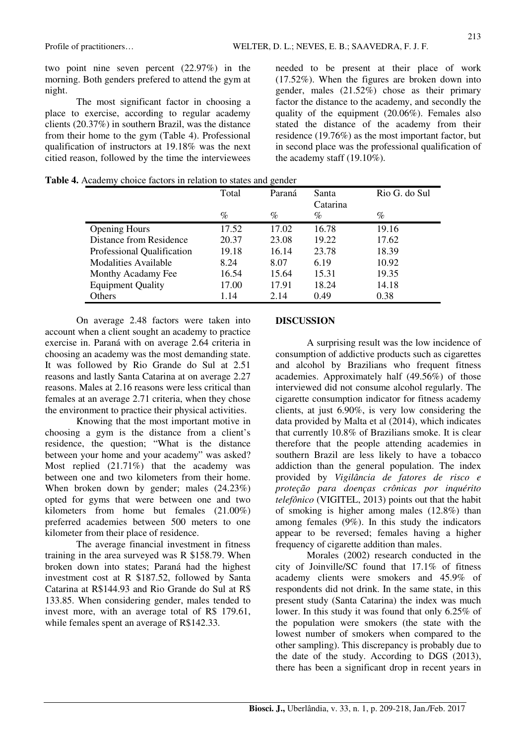two point nine seven percent (22.97%) in the morning. Both genders prefered to attend the gym at night.

The most significant factor in choosing a place to exercise, according to regular academy clients (20.37%) in southern Brazil, was the distance from their home to the gym (Table 4). Professional qualification of instructors at 19.18% was the next citied reason, followed by the time the interviewees needed to be present at their place of work (17.52%). When the figures are broken down into gender, males (21.52%) chose as their primary factor the distance to the academy, and secondly the quality of the equipment (20.06%). Females also stated the distance of the academy from their residence (19.76%) as the most important factor, but in second place was the professional qualification of the academy staff (19.10%).

**Table 4.** Academy choice factors in relation to states and gender

|                             | Total | Paraná | Santa<br>Catarina | Rio G. do Sul |
|-----------------------------|-------|--------|-------------------|---------------|
|                             | $\%$  | $\%$   | $\%$              | %             |
| <b>Opening Hours</b>        | 17.52 | 17.02  | 16.78             | 19.16         |
| Distance from Residence     | 20.37 | 23.08  | 19.22             | 17.62         |
| Professional Qualification  | 19.18 | 16.14  | 23.78             | 18.39         |
| <b>Modalities Available</b> | 8.24  | 8.07   | 6.19              | 10.92         |
| Monthy Acadamy Fee          | 16.54 | 15.64  | 15.31             | 19.35         |
| <b>Equipment Quality</b>    | 17.00 | 17.91  | 18.24             | 14.18         |
| Others                      | 1.14  | 2.14   | 0.49              | 0.38          |

On average 2.48 factors were taken into account when a client sought an academy to practice exercise in. Paraná with on average 2.64 criteria in choosing an academy was the most demanding state. It was followed by Rio Grande do Sul at 2.51 reasons and lastly Santa Catarina at on average 2.27 reasons. Males at 2.16 reasons were less critical than females at an average 2.71 criteria, when they chose the environment to practice their physical activities.

Knowing that the most important motive in choosing a gym is the distance from a client's residence, the question; "What is the distance between your home and your academy" was asked? Most replied (21.71%) that the academy was between one and two kilometers from their home. When broken down by gender; males (24.23%) opted for gyms that were between one and two kilometers from home but females (21.00%) preferred academies between 500 meters to one kilometer from their place of residence.

The average financial investment in fitness training in the area surveyed was R \$158.79. When broken down into states; Paraná had the highest investment cost at R \$187.52, followed by Santa Catarina at R\$144.93 and Rio Grande do Sul at R\$ 133.85. When considering gender, males tended to invest more, with an average total of R\$ 179.61, while females spent an average of R\$142.33.

#### **DISCUSSION**

A surprising result was the low incidence of consumption of addictive products such as cigarettes and alcohol by Brazilians who frequent fitness academies. Approximately half (49.56%) of those interviewed did not consume alcohol regularly. The cigarette consumption indicator for fitness academy clients, at just 6.90%, is very low considering the data provided by Malta et al (2014), which indicates that currently 10.8% of Brazilians smoke. It is clear therefore that the people attending academies in southern Brazil are less likely to have a tobacco addiction than the general population. The index provided by *Vigilância de fatores de risco e proteção para doenças crônicas por inquérito telefônico* (VIGITEL, 2013) points out that the habit of smoking is higher among males (12.8%) than among females (9%). In this study the indicators appear to be reversed; females having a higher frequency of cigarette addition than males.

Morales (2002) research conducted in the city of Joinville/SC found that 17.1% of fitness academy clients were smokers and 45.9% of respondents did not drink. In the same state, in this present study (Santa Catarina) the index was much lower. In this study it was found that only 6.25% of the population were smokers (the state with the lowest number of smokers when compared to the other sampling). This discrepancy is probably due to the date of the study. According to DGS (2013), there has been a significant drop in recent years in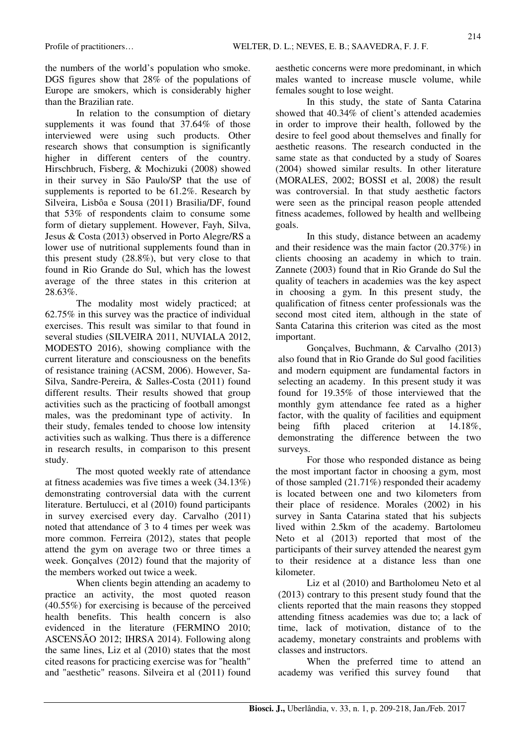the numbers of the world's population who smoke. DGS figures show that 28% of the populations of Europe are smokers, which is considerably higher than the Brazilian rate.

In relation to the consumption of dietary supplements it was found that 37.64% of those interviewed were using such products. Other research shows that consumption is significantly higher in different centers of the country. Hirschbruch, Fisberg, & Mochizuki (2008) showed in their survey in São Paulo/SP that the use of supplements is reported to be 61.2%. Research by Silveira, Lisbôa e Sousa (2011) Brasilia/DF, found that 53% of respondents claim to consume some form of dietary supplement. However, Fayh, Silva, Jesus & Costa (2013) observed in Porto Alegre/RS a lower use of nutritional supplements found than in this present study (28.8%), but very close to that found in Rio Grande do Sul, which has the lowest average of the three states in this criterion at 28.63%.

The modality most widely practiced; at 62.75% in this survey was the practice of individual exercises. This result was similar to that found in several studies (SILVEIRA 2011, NUVIALA 2012, MODESTO 2016), showing compliance with the current literature and consciousness on the benefits of resistance training (ACSM, 2006). However, Sa-Silva, Sandre-Pereira, & Salles-Costa (2011) found different results. Their results showed that group activities such as the practicing of football amongst males, was the predominant type of activity. In their study, females tended to choose low intensity activities such as walking. Thus there is a difference in research results, in comparison to this present study.

The most quoted weekly rate of attendance at fitness academies was five times a week (34.13%) demonstrating controversial data with the current literature. Bertulucci, et al (2010) found participants in survey exercised every day. Carvalho (2011) noted that attendance of 3 to 4 times per week was more common. Ferreira (2012), states that people attend the gym on average two or three times a week. Gonçalves (2012) found that the majority of the members worked out twice a week.

When clients begin attending an academy to practice an activity, the most quoted reason (40.55%) for exercising is because of the perceived health benefits. This health concern is also evidenced in the literature (FERMINO 2010; ASCENSÃO 2012; IHRSA 2014). Following along the same lines, Liz et al (2010) states that the most cited reasons for practicing exercise was for "health" and "aesthetic" reasons. Silveira et al (2011) found aesthetic concerns were more predominant, in which males wanted to increase muscle volume, while females sought to lose weight.

In this study, the state of Santa Catarina showed that 40.34% of client's attended academies in order to improve their health, followed by the desire to feel good about themselves and finally for aesthetic reasons. The research conducted in the same state as that conducted by a study of Soares (2004) showed similar results. In other literature (MORALES, 2002; BOSSI et al, 2008) the result was controversial. In that study aesthetic factors were seen as the principal reason people attended fitness academes, followed by health and wellbeing goals.

In this study, distance between an academy and their residence was the main factor (20.37%) in clients choosing an academy in which to train. Zannete (2003) found that in Rio Grande do Sul the quality of teachers in academies was the key aspect in choosing a gym. In this present study, the qualification of fitness center professionals was the second most cited item, although in the state of Santa Catarina this criterion was cited as the most important.

Gonçalves, Buchmann, & Carvalho (2013) also found that in Rio Grande do Sul good facilities and modern equipment are fundamental factors in selecting an academy. In this present study it was found for 19.35% of those interviewed that the monthly gym attendance fee rated as a higher factor, with the quality of facilities and equipment being fifth placed criterion at 14.18%, demonstrating the difference between the two surveys.

For those who responded distance as being the most important factor in choosing a gym, most of those sampled (21.71%) responded their academy is located between one and two kilometers from their place of residence. Morales (2002) in his survey in Santa Catarina stated that his subjects lived within 2.5km of the academy. Bartolomeu Neto et al (2013) reported that most of the participants of their survey attended the nearest gym to their residence at a distance less than one kilometer.

Liz et al (2010) and Bartholomeu Neto et al (2013) contrary to this present study found that the clients reported that the main reasons they stopped attending fitness academies was due to; a lack of time, lack of motivation, distance of to the academy, monetary constraints and problems with classes and instructors.

When the preferred time to attend an academy was verified this survey found that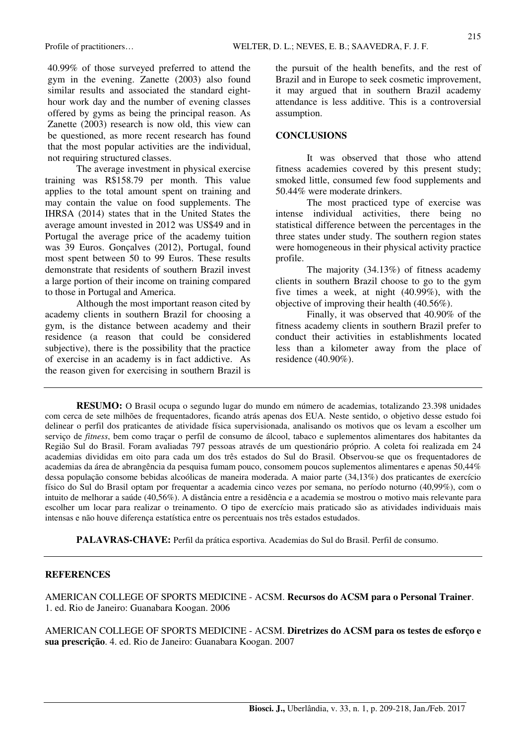40.99% of those surveyed preferred to attend the gym in the evening. Zanette (2003) also found similar results and associated the standard eighthour work day and the number of evening classes offered by gyms as being the principal reason. As Zanette (2003) research is now old, this view can be questioned, as more recent research has found that the most popular activities are the individual, not requiring structured classes.

The average investment in physical exercise training was R\$158.79 per month. This value applies to the total amount spent on training and may contain the value on food supplements. The IHRSA (2014) states that in the United States the average amount invested in 2012 was US\$49 and in Portugal the average price of the academy tuition was 39 Euros. Gonçalves (2012), Portugal, found most spent between 50 to 99 Euros. These results demonstrate that residents of southern Brazil invest a large portion of their income on training compared to those in Portugal and America.

Although the most important reason cited by academy clients in southern Brazil for choosing a gym, is the distance between academy and their residence (a reason that could be considered subjective), there is the possibility that the practice of exercise in an academy is in fact addictive. As the reason given for exercising in southern Brazil is the pursuit of the health benefits, and the rest of Brazil and in Europe to seek cosmetic improvement, it may argued that in southern Brazil academy attendance is less additive. This is a controversial assumption.

#### **CONCLUSIONS**

It was observed that those who attend fitness academies covered by this present study; smoked little, consumed few food supplements and 50.44% were moderate drinkers.

The most practiced type of exercise was intense individual activities, there being no statistical difference between the percentages in the three states under study. The southern region states were homogeneous in their physical activity practice profile.

The majority (34.13%) of fitness academy clients in southern Brazil choose to go to the gym five times a week, at night (40.99%), with the objective of improving their health (40.56%).

Finally, it was observed that 40.90% of the fitness academy clients in southern Brazil prefer to conduct their activities in establishments located less than a kilometer away from the place of residence (40.90%).

**RESUMO:** O Brasil ocupa o segundo lugar do mundo em número de academias, totalizando 23.398 unidades com cerca de sete milhões de frequentadores, ficando atrás apenas dos EUA. Neste sentido, o objetivo desse estudo foi delinear o perfil dos praticantes de atividade física supervisionada, analisando os motivos que os levam a escolher um serviço de *fitness*, bem como traçar o perfil de consumo de álcool, tabaco e suplementos alimentares dos habitantes da Região Sul do Brasil. Foram avaliadas 797 pessoas através de um questionário próprio. A coleta foi realizada em 24 academias divididas em oito para cada um dos três estados do Sul do Brasil. Observou-se que os frequentadores de academias da área de abrangência da pesquisa fumam pouco, consomem poucos suplementos alimentares e apenas 50,44% dessa população consome bebidas alcoólicas de maneira moderada. A maior parte (34,13%) dos praticantes de exercício físico do Sul do Brasil optam por frequentar a academia cinco vezes por semana, no período noturno (40,99%), com o intuito de melhorar a saúde (40,56%). A distância entre a residência e a academia se mostrou o motivo mais relevante para escolher um locar para realizar o treinamento. O tipo de exercício mais praticado são as atividades individuais mais intensas e não houve diferença estatística entre os percentuais nos três estados estudados.

**PALAVRAS-CHAVE:** Perfil da prática esportiva. Academias do Sul do Brasil. Perfil de consumo.

#### **REFERENCES**

AMERICAN COLLEGE OF SPORTS MEDICINE - ACSM. **Recursos do ACSM para o Personal Trainer**. 1. ed. Rio de Janeiro: Guanabara Koogan. 2006

AMERICAN COLLEGE OF SPORTS MEDICINE - ACSM. **Diretrizes do ACSM para os testes de esforço e sua prescrição**. 4. ed. Rio de Janeiro: Guanabara Koogan. 2007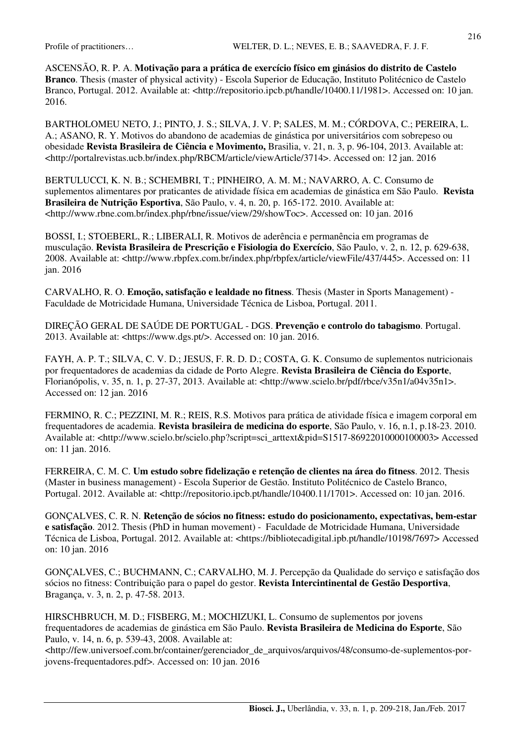ASCENSÃO, R. P. A. **Motivação para a prática de exercício físico em ginásios do distrito de Castelo Branco**. Thesis (master of physical activity) - Escola Superior de Educação, Instituto Politécnico de Castelo Branco, Portugal. 2012. Available at: <http://repositorio.ipcb.pt/handle/10400.11/1981>. Accessed on: 10 jan. 2016.

BARTHOLOMEU NETO, J.; PINTO, J. S.; SILVA, J. V. P; SALES, M. M.; CÓRDOVA, C.; PEREIRA, L. A.; ASANO, R. Y. Motivos do abandono de academias de ginástica por universitários com sobrepeso ou obesidade **Revista Brasileira de Ciência e Movimento,** Brasilia, v. 21, n. 3, p. 96-104, 2013. Available at: <http://portalrevistas.ucb.br/index.php/RBCM/article/viewArticle/3714>. Accessed on: 12 jan. 2016

BERTULUCCI, K. N. B.; SCHEMBRI, T.; PINHEIRO, A. M. M.; NAVARRO, A. C. Consumo de suplementos alimentares por praticantes de atividade física em academias de ginástica em São Paulo. **Revista Brasileira de Nutrição Esportiva**, São Paulo, v. 4, n. 20, p. 165-172. 2010. Available at: <http://www.rbne.com.br/index.php/rbne/issue/view/29/showToc>. Accessed on: 10 jan. 2016

BOSSI, I.; STOEBERL, R.; LIBERALI, R. Motivos de aderência e permanência em programas de musculação. **Revista Brasileira de Prescrição e Fisiologia do Exercício**, São Paulo, v. 2, n. 12, p. 629-638, 2008. Available at: <http://www.rbpfex.com.br/index.php/rbpfex/article/viewFile/437/445>. Accessed on: 11 jan. 2016

CARVALHO, R. O. **Emoção, satisfação e lealdade no fitness**. Thesis (Master in Sports Management) - Faculdade de Motricidade Humana, Universidade Técnica de Lisboa, Portugal. 2011.

DIREÇÃO GERAL DE SAÚDE DE PORTUGAL - DGS. **Prevenção e controlo do tabagismo**. Portugal. 2013. Available at: <https://www.dgs.pt/>. Accessed on: 10 jan. 2016.

FAYH, A. P. T.; SILVA, C. V. D.; JESUS, F. R. D. D.; COSTA, G. K. Consumo de suplementos nutricionais por frequentadores de academias da cidade de Porto Alegre. **Revista Brasileira de Ciência do Esporte**, Florianópolis, v. 35, n. 1, p. 27-37, 2013. Available at: <http://www.scielo.br/pdf/rbce/v35n1/a04v35n1>. Accessed on: 12 jan. 2016

FERMINO, R. C.; PEZZINI, M. R.; REIS, R.S. Motivos para prática de atividade física e imagem corporal em frequentadores de academia. **Revista brasileira de medicina do esporte**, São Paulo, v. 16, n.1, p.18-23. 2010. Available at: <http://www.scielo.br/scielo.php?script=sci\_arttext&pid=S1517-86922010000100003> Accessed on: 11 jan. 2016.

FERREIRA, C. M. C. **Um estudo sobre fidelização e retenção de clientes na área do fitness**. 2012. Thesis (Master in business management) - Escola Superior de Gestão. Instituto Politécnico de Castelo Branco, Portugal. 2012. Available at: <http://repositorio.ipcb.pt/handle/10400.11/1701>. Accessed on: 10 jan. 2016.

GONÇALVES, C. R. N. **Retenção de sócios no fitness: estudo do posicionamento, expectativas, bem-estar e satisfação**. 2012. Thesis (PhD in human movement) - Faculdade de Motricidade Humana, Universidade Técnica de Lisboa, Portugal. 2012. Available at: <https://bibliotecadigital.ipb.pt/handle/10198/7697> Accessed on: 10 jan. 2016

GONÇALVES, C.; BUCHMANN, C.; CARVALHO, M. J. Percepção da Qualidade do serviço e satisfação dos sócios no fitness: Contribuição para o papel do gestor. **Revista Intercintinental de Gestão Desportiva**, Bragança, v. 3, n. 2, p. 47-58. 2013.

HIRSCHBRUCH, M. D.; FISBERG, M.; MOCHIZUKI, L. Consumo de suplementos por jovens frequentadores de academias de ginástica em São Paulo. **Revista Brasileira de Medicina do Esporte**, São Paulo, v. 14, n. 6, p. 539-43, 2008. Available at:

<http://few.universoef.com.br/container/gerenciador\_de\_arquivos/arquivos/48/consumo-de-suplementos-porjovens-frequentadores.pdf>. Accessed on: 10 jan. 2016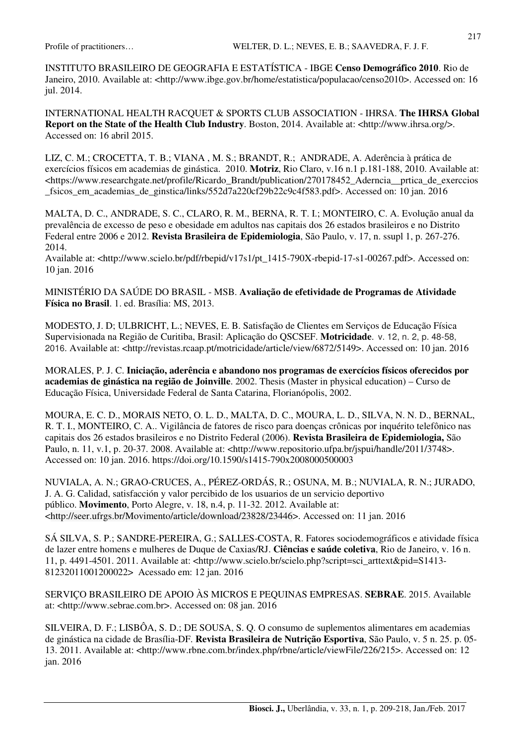INSTITUTO BRASILEIRO DE GEOGRAFIA E ESTATÍSTICA - IBGE **Censo Demográfico 2010**. Rio de Janeiro, 2010. Available at: <http://www.ibge.gov.br/home/estatistica/populacao/censo2010>. Accessed on: 16 jul. 2014.

INTERNATIONAL HEALTH RACQUET & SPORTS CLUB ASSOCIATION - IHRSA. **The IHRSA Global Report on the State of the Health Club Industry**. Boston, 2014. Available at: <http://www.ihrsa.org/>. Accessed on: 16 abril 2015.

LIZ, C. M.; CROCETTA, T. B.; VIANA , M. S.; BRANDT, R.; ANDRADE, A. Aderência à prática de exercícios físicos em academias de ginástica. 2010. **Motriz**, Rio Claro, v.16 n.1 p.181-188, 2010. Available at: <https://www.researchgate.net/profile/Ricardo\_Brandt/publication/270178452\_Aderncia\_\_prtica\_de\_exerccios \_fsicos\_em\_academias\_de\_ginstica/links/552d7a220cf29b22c9c4f583.pdf>. Accessed on: 10 jan. 2016

MALTA, D. C., ANDRADE, S. C., CLARO, R. M., BERNA, R. T. I.; MONTEIRO, C. A. Evolução anual da prevalência de excesso de peso e obesidade em adultos nas capitais dos 26 estados brasileiros e no Distrito Federal entre 2006 e 2012. **Revista Brasileira de Epidemiologia**, São Paulo, v. 17, n. ssupl 1, p. 267-276. 2014.

Available at: <http://www.scielo.br/pdf/rbepid/v17s1/pt\_1415-790X-rbepid-17-s1-00267.pdf>. Accessed on: 10 jan. 2016

MINISTÉRIO DA SAÚDE DO BRASIL - MSB. **Avaliação de efetividade de Programas de Atividade Física no Brasil**. 1. ed. Brasília: MS, 2013.

MODESTO, J. D; ULBRICHT, L.; NEVES, E. B. Satisfação de Clientes em Serviços de Educação Física Supervisionada na Região de Curitiba, Brasil: Aplicação do QSCSEF. **Motricidade**. v. 12, n. 2, p. 48-58, 2016. Available at: <http://revistas.rcaap.pt/motricidade/article/view/6872/5149>. Accessed on: 10 jan. 2016

MORALES, P. J. C. **Iniciação, aderência e abandono nos programas de exercícios físicos oferecidos por academias de ginástica na região de Joinville**. 2002. Thesis (Master in physical education) – Curso de Educação Física, Universidade Federal de Santa Catarina, Florianópolis, 2002.

MOURA, E. C. D., MORAIS NETO, O. L. D., MALTA, D. C., MOURA, L. D., SILVA, N. N. D., BERNAL, R. T. I., MONTEIRO, C. A.. Vigilância de fatores de risco para doenças crônicas por inquérito telefônico nas capitais dos 26 estados brasileiros e no Distrito Federal (2006). **Revista Brasileira de Epidemiologia,** São Paulo, n. 11, v.1, p. 20-37. 2008. Available at: <http://www.repositorio.ufpa.br/jspui/handle/2011/3748>. Accessed on: 10 jan. 2016. https://doi.org/10.1590/s1415-790x2008000500003

NUVIALA, A. N.; GRAO-CRUCES, A., PÉREZ-ORDÁS, R.; OSUNA, M. B.; NUVIALA, R. N.; JURADO, J. A. G. Calidad, satisfacción y valor percibido de los usuarios de un servicio deportivo público. **Movimento**, Porto Alegre, v. 18, n.4, p. 11-32. 2012. Available at: <http://seer.ufrgs.br/Movimento/article/download/23828/23446>. Accessed on: 11 jan. 2016

SÁ SILVA, S. P.; SANDRE-PEREIRA, G.; SALLES-COSTA, R. Fatores sociodemográficos e atividade física de lazer entre homens e mulheres de Duque de Caxias/RJ. **Ciências e saúde coletiva**, Rio de Janeiro, v. 16 n. 11, p. 4491-4501. 2011. Available at: <http://www.scielo.br/scielo.php?script=sci\_arttext&pid=S1413- 81232011001200022> Acessado em: 12 jan. 2016

SERVIÇO BRASILEIRO DE APOIO ÀS MICROS E PEQUINAS EMPRESAS. **SEBRAE**. 2015. Available at: <http://www.sebrae.com.br>. Accessed on: 08 jan. 2016

SILVEIRA, D. F.; LISBÔA, S. D.; DE SOUSA, S. Q. O consumo de suplementos alimentares em academias de ginástica na cidade de Brasília-DF. **Revista Brasileira de Nutrição Esportiva**, São Paulo, v. 5 n. 25. p. 05- 13. 2011. Available at: <http://www.rbne.com.br/index.php/rbne/article/viewFile/226/215>. Accessed on: 12 jan. 2016